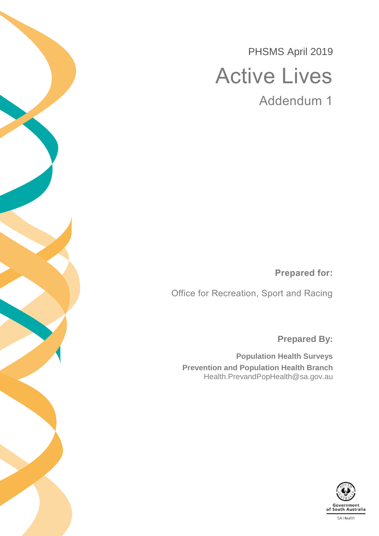PHSMS April 2019 Active Lives

Addendum 1

**Prepared for:**

Office for Recreation, Sport and Racing

**Prepared By:**

**Population Health Surveys Prevention and Population Health Branch** Health.PrevandPopHealth@sa.gov.au

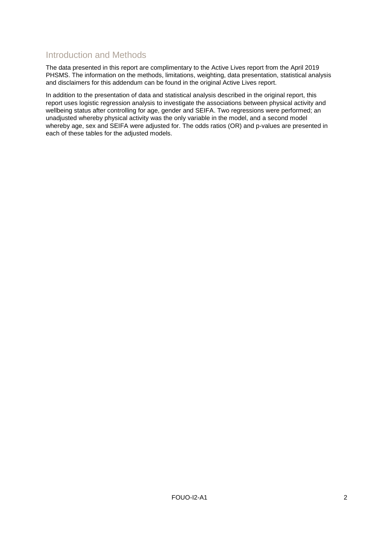#### Introduction and Methods

The data presented in this report are complimentary to the Active Lives report from the April 2019 PHSMS. The information on the methods, limitations, weighting, data presentation, statistical analysis and disclaimers for this addendum can be found in the original Active Lives report.

In addition to the presentation of data and statistical analysis described in the original report, this report uses logistic regression analysis to investigate the associations between physical activity and wellbeing status after controlling for age, gender and SEIFA. Two regressions were performed; an unadjusted whereby physical activity was the only variable in the model, and a second model whereby age, sex and SEIFA were adjusted for. The odds ratios (OR) and p-values are presented in each of these tables for the adjusted models.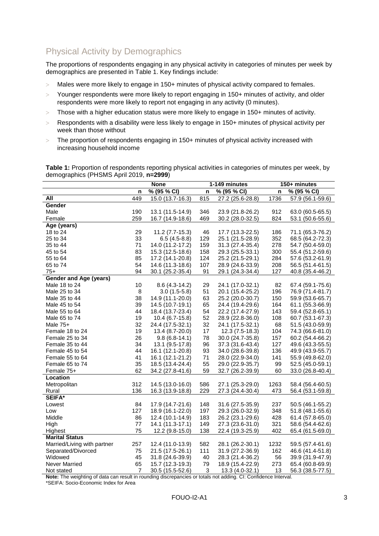## Physical Activity by Demographics

The proportions of respondents engaging in any physical activity in categories of minutes per week by demographics are presented in [Table 1.](#page-2-0) Key findings include:

- $>$  Males were more likely to engage in 150+ minutes of physical activity compared to females.
- $>$  Younger respondents were more likely to report engaging in 150+ minutes of activity, and older respondents were more likely to report not engaging in any activity (0 minutes).
- $>$  Those with a higher education status were more likely to engage in 150+ minutes of activity.
- $>$  Respondents with a disability were less likely to engage in 150+ minutes of physical activity per week than those without
- $>$  The proportion of respondents engaging in 150+ minutes of physical activity increased with increasing household income

<span id="page-2-0"></span>**Table 1:** Proportion of respondents reporting physical activities in categories of minutes per week, by demographics (PHSMS April 2019, **n=2999**)

|                             |     | <b>None</b>      |     | 1-149 minutes    |      | 150+ minutes     |
|-----------------------------|-----|------------------|-----|------------------|------|------------------|
|                             | n   | % (95 % CI)      | n   | % (95 % CI)      | n    | % (95 % CI)      |
| All                         | 449 | 15.0 (13.7-16.3) | 815 | 27.2 (25.6-28.8) | 1736 | 57.9 (56.1-59.6) |
| Gender                      |     |                  |     |                  |      |                  |
| Male                        | 190 | 13.1 (11.5-14.9) | 346 | 23.9 (21.8-26.2) | 912  | 63.0 (60.5-65.5) |
| Female                      | 259 | 16.7 (14.9-18.6) | 469 | 30.2 (28.0-32.5) | 824  | 53.1 (50.6-55.6) |
| Age (years)                 |     |                  |     |                  |      |                  |
| 18 to 24                    | 29  | $11.2(7.7-15.3)$ | 46  | 17.7 (13.3-22.5) | 186  | 71.1 (65.3-76.2) |
| 25 to 34                    | 33  | $6.5(4.5-8.8)$   | 129 | 25.1 (21.5-28.9) | 352  | 68.5 (64.2-72.3) |
| 35 to 44                    | 71  | 14.0 (11.2-17.2) | 159 | 31.3 (27.4-35.4) | 278  | 54.7 (50.4-59.0) |
| 45 to 54                    | 83  | 15.3 (12.5-18.6) | 158 | 29.3 (25.5-33.1) | 300  | 55.4 (51.2-59.6) |
| 55 to 64                    | 85  | 17.2 (14.1-20.8) | 124 | 25.2 (21.5-29.1) | 284  | 57.6 (53.2-61.9) |
| 65 to 74                    | 54  | 14.6 (11.3-18.6) | 107 | 28.9 (24.6-33.9) | 208  | 56.5 (51.4-61.5) |
| $75+$                       | 94  | 30.1 (25.2-35.4) | 91  | 29.1 (24.3-34.4) | 127  | 40.8 (35.4-46.2) |
| Gender and Age (years)      |     |                  |     |                  |      |                  |
| Male 18 to 24               | 10  | 8.6 (4.3-14.2)   | 29  | 24.1 (17.0-32.1) | 82   | 67.4 (59.1-75.6) |
| Male 25 to 34               | 8   | $3.0(1.5-5.8)$   | 51  | 20.1 (15.4-25.2) | 196  | 76.9 (71.4-81.7) |
| Male 35 to 44               | 38  | 14.9 (11.1-20.0) | 63  | 25.2 (20.0-30.7) | 150  | 59.9 (53.6-65.7) |
| Male 45 to 54               | 39  | 14.5 (10.7-19.1) | 65  | 24.4 (19.4-29.6) | 164  | 61.1 (55.3-66.9) |
| Male 55 to 64               | 44  | 18.4 (13.7-23.4) | 54  | 22.2 (17.4-27.9) | 143  | 59.4 (52.8-65.1) |
| Male 65 to 74               | 19  | 10.4 (6.7-15.8)  | 52  | 28.9 (22.8-36.0) | 108  | 60.7 (53.1-67.3) |
| Male 75+                    | 32  | 24.4 (17.5-32.1) | 32  | 24.1 (17.5-32.1) | 68   | 51.5 (43.0-59.9) |
| Female 18 to 24             | 19  | 13.4 (8.7-20.0)  | 17  | 12.3 (7.5-18.3)  | 104  | 74.3 (66.6-81.0) |
| Female 25 to 34             | 26  | $9.8(6.8-14.1)$  | 78  | 30.0 (24.7-35.8) | 157  | 60.2 (54.4-66.2) |
| Female 35 to 44             | 34  | 13.1 (9.5-17.8)  | 96  | 37.3 (31.6-43.4) | 127  | 49.6 (43.3-55.5) |
| Female 45 to 54             | 44  | 16.1 (12.1-20.8) | 93  | 34.0 (28.6-39.8) | 136  | 49.9 (43.9-55.7) |
| Female 55 to 64             | 41  | 16.1 (12.1-21.2) | 71  | 28.0 (22.9-34.0) | 141  | 55.9 (49.8-62.0) |
| Female 65 to 74             | 35  | 18.5 (13.4-24.4) | 55  | 29.0 (22.9-35.7) | 99   | 52.5 (45.0-59.1) |
| Female 75+                  | 62  | 34.2 (27.8-41.6) | 59  | 32.7 (26.2-39.9) | 60   | 33.0 (26.8-40.4) |
| Location                    |     |                  |     |                  |      |                  |
| Metropolitan                | 312 | 14.5 (13.0-16.0) | 586 | 27.1 (25.3-29.0) | 1263 | 58.4 (56.4-60.5) |
| Rural                       | 136 | 16.3 (13.9-18.8) | 229 | 27.3 (24.4-30.4) | 473  | 56.4 (53.1-59.8) |
| <b>SEIFA*</b>               |     |                  |     |                  |      |                  |
| Lowest                      | 84  | 17.9 (14.7-21.6) | 148 | 31.6 (27.5-35.9) | 237  | 50.5 (46.1-55.2) |
| Low                         | 127 | 18.9 (16.1-22.0) | 197 | 29.3 (26.0-32.9) | 348  | 51.8 (48.1-55.6) |
| Middle                      | 86  | 12.4 (10.1-14.9) | 183 | 26.2 (23.1-29.6) | 428  | 61.4 (57.8-65.0) |
| High                        | 77  | 14.1 (11.3-17.1) | 149 | 27.3 (23.6-31.0) | 321  | 58.6 (54.4-62.6) |
| Highest                     | 75  | 12.2 (9.8-15.0)  | 138 | 22.4 (19.3-25.9) | 402  | 65.4 (61.5-69.0) |
| <b>Marital Status</b>       |     |                  |     |                  |      |                  |
| Married/Living with partner | 257 | 12.4 (11.0-13.9) | 582 | 28.1 (26.2-30.1) | 1232 | 59.5 (57.4-61.6) |
| Separated/Divorced          | 75  | 21.5 (17.5-26.1) | 111 | 31.9 (27.2-36.9) | 162  | 46.6 (41.4-51.8) |
| Widowed                     | 45  | 31.8 (24.6-39.9) | 40  | 28.3 (21.4-36.2) | 56   | 39.9 (31.9-47.9) |
| <b>Never Married</b>        | 65  | 15.7 (12.3-19.3) | 79  | 18.9 (15.4-22.9) | 273  | 65.4 (60.8-69.9) |
| Not stated                  | 7   | 30.5 (15.5-52.6) | 3   | 13.3 (4.0-32.1)  | 13   | 56.3 (38.5-77.5) |

**Note:** The weighting of data can result in rounding discrepancies or totals not adding. CI: Confidence Interval. \*SEIFA: Socio-Economic Index for Area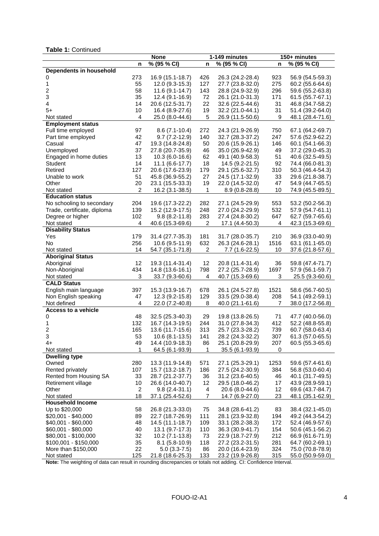#### **Table 1:** Continued

|                             |                | <b>None</b>       |                         | 1-149 minutes    |      | 150+ minutes     |
|-----------------------------|----------------|-------------------|-------------------------|------------------|------|------------------|
|                             | n              | % (95 % CI)       | n                       | % (95 % CI)      | n    | % (95 % CI)      |
| Dependents in household     |                |                   |                         |                  |      |                  |
| 0                           | 273            | 16.9 (15.1-18.7)  | 426                     | 26.3 (24.2-28.4) | 923  | 56.9 (54.5-59.3) |
| 1                           | 55             | 12.0 (9.3-15.3)   | 127                     | 27.7 (23.8-32.0) | 275  | 60.2 (55.6-64.6) |
| $\overline{c}$              | 58             | 11.6 (9.1-14.7)   | 143                     | 28.8 (24.9-32.9) | 296  | 59.6 (55.2-63.8) |
| 3                           | 35             | 12.4 (9.1-16.9)   | 72                      | 26.1 (21.0-31.3) | 171  | 61.5 (55.7-67.1) |
| 4                           | 14             | 20.6 (12.5-31.7)  | 22                      | 32.6 (22.5-44.6) | 31   | 46.8 (34.7-58.2) |
| $5+$                        | 10             | 16.4 (8.9-27.6)   | 19                      | 32.2 (21.0-44.1) | 31   | 51.4 (39.2-64.0) |
| Not stated                  | 4              | 25.0 (8.0-44.6)   | 5                       | 26.9 (11.5-50.6) | 9    | 48.1 (28.4-71.6) |
| <b>Employment status</b>    |                |                   |                         |                  |      |                  |
| Full time employed          | 97             | $8.6(7.1-10.4)$   | 272                     | 24.3 (21.9-26.9) | 750  | 67.1 (64.2-69.7) |
| Part time employed          | 42             | $9.7(7.2-12.9)$   | 140                     | 32.7 (28.3-37.2) | 247  | 57.6 (52.9-62.2) |
| Casual                      | 47             | 19.3 (14.8-24.8)  | 50                      | 20.6 (15.9-26.1) | 146  | 60.1 (54.1-66.3) |
| Unemployed                  | 37             | 27.8 (20.7-35.9)  | 46                      | 35.0 (26.9-42.9) | 49   | 37.2 (29.0-45.3) |
| Engaged in home duties      | 13             | 10.3 (6.0-16.6)   | 62                      | 49.1 (40.9-58.3) | 51   | 40.6 (32.5-49.5) |
| Student                     | 14             | $11.1 (6.6-17.7)$ | 18                      | 14.5 (9.2-21.5)  | 92   | 74.4 (66.0-81.3) |
| Retired                     | 127            | 20.6 (17.6-23.9)  | 179                     | 29.1 (25.6-32.7) | 310  | 50.3 (46.4-54.3) |
| Unable to work              | 51             | 45.8 (36.9-55.2)  | 27                      | 24.5 (17.1-32.9) | 33   | 29.6 (21.8-38.7) |
| Other                       | 20             | 23.1 (15.5-33.3)  | 19                      |                  | 47   | 54.9 (44.7-65.5) |
|                             | $\overline{c}$ |                   |                         | 22.0 (14.5-32.0) | 10   |                  |
| Not stated                  |                | 16.2 (3.1-38.5)   | 1                       | $8.9(0.8-28.8)$  |      | 74.9 (45.5-89.5) |
| <b>Education status</b>     |                |                   |                         |                  |      |                  |
| No schooling to secondary   | 204            | 19.6 (17.3-22.2)  | 282                     | 27.1 (24.5-29.9) | 553  | 53.2 (50.2-56.3) |
| Trade, certificate, diploma | 139            | 15.2 (12.9-17.5)  | 248                     | 27.0 (24.2-29.9) | 532  | 57.9 (54.7-61.1) |
| Degree or higher            | 102            | $9.8(8.2 - 11.8)$ | 283                     | 27.4 (24.8-30.2) | 647  | 62.7 (59.7-65.6) |
| Not stated                  | 4              | 40.6 (15.3-69.6)  | $\overline{\mathbf{c}}$ | 17.1 (4.4-50.3)  | 4    | 42.3 (15.3-69.6) |
| <b>Disability Status</b>    |                |                   |                         |                  |      |                  |
| Yes                         | 179            | 31.4 (27.7-35.3)  | 181                     | 31.7 (28.0-35.7) | 210  | 36.9 (33.0-40.9) |
| No                          | 256            | 10.6 (9.5-11.9)   | 632                     | 26.3 (24.6-28.1) | 1516 | 63.1 (61.1-65.0) |
| Not stated                  | 14             | 54.7 (35.1-71.8)  | $\overline{\mathbf{c}}$ | 7.7 (1.6-22.5)   | 10   | 37.6 (21.8-57.6) |
| <b>Aboriginal Status</b>    |                |                   |                         |                  |      |                  |
| Aboriginal                  | 12             | 19.3 (11.4-31.4)  | 12                      | 20.8 (11.4-31.4) | 36   | 59.8 (47.4-71.7) |
| Non-Aboriginal              | 434            | 14.8 (13.6-16.1)  | 798                     | 27.2 (25.7-28.9) | 1697 | 57.9 (56.1-59.7) |
| Not stated                  | 3              | 33.7 (9.3-60.6)   | 4                       | 40.7 (15.3-69.6) | 3    | 25.5 (9.3-60.6)  |
| <b>CALD Status</b>          |                |                   |                         |                  |      |                  |
| English main language       | 397            | 15.3 (13.9-16.7)  | 678                     | 26.1 (24.5-27.8) | 1521 | 58.6 (56.7-60.5) |
| Non English speaking        | 47             | 12.3 (9.2-15.8)   | 129                     | 33.5 (29.0-38.4) | 208  | 54.1 (49.2-59.1) |
| Not defined                 | 4              | 22.0 (7.2-40.8)   | 8                       | 40.0 (21.1-61.6) | 7    | 38.0 (17.2-56.8) |
| Access to a vehicle         |                |                   |                         |                  |      |                  |
| 0                           | 48             | 32.5 (25.3-40.3)  | 29                      | 19.8 (13.8-26.5) | 71   | 47.7 (40.0-56.0) |
| 1                           | 132            | 16.7 (14.3-19.5)  | 244                     | 31.0 (27.8-34.3) | 412  | 52.2 (48.8-55.8) |
| $\overline{c}$              | 165            | 13.6 (11.7-15.6)  | 313                     | 25.7 (23.3-28.2) | 739  | 60.7 (58.0-63.4) |
| 3                           | 53             | 10.6 (8.1-13.5)   | 141                     | 28.2 (24.3-32.2) | 307  | 61.3 (57.0-65.5) |
| $4+$                        | 49             | 14.4 (10.9-18.3)  | 86                      | 25.1 (20.8-29.9) | 207  | 60.5 (55.3-65.6) |
| Not stated                  | 1              | 64.5 (6.1-93.9)   | 1                       | 35.5 (6.1-93.9)  | 0    |                  |
| <b>Dwelling type</b>        |                |                   |                         |                  |      |                  |
| Owned                       | 280            | 13.3 (11.9-14.8)  | 571                     | 27.1 (25.3-29.1) | 1253 | 59.6 (57.4-61.6) |
| Rented privately            | 107            | 15.7 (13.2-18.7)  | 186                     | 27.5 (24.2-30.9) | 384  | 56.8 (53.0-60.4) |
| Rented from Housing SA      | 33             | 28.7 (21.2-37.7)  | 36                      | 31.2 (23.6-40.5) | 46   | 40.1 (31.7-49.5) |
| Retirement village          | 10             | 26.6 (14.0-40.7)  | 12                      | 29.5 (18.0-46.2) | 17   | 43.9 (28.9-59.1) |
| Other                       | $\overline{c}$ | $9.8(2.4-31.1)$   | 4                       | 20.6 (8.0-44.6)  | 12   | 69.6 (43.7-84.7) |
| Not stated                  | 18             | 37.1 (25.4-52.6)  | $\overline{7}$          | 14.7 (6.9-27.0)  | 23   | 48.1 (35.1-62.9) |
| <b>Household Income</b>     |                |                   |                         |                  |      |                  |
| Up to \$20,000              | 58             | 26.8 (21.3-33.0)  | 75                      | 34.8 (28.6-41.2) | 83   | 38.4 (32.1-45.0) |
| \$20,001 - \$40,000         | 89             | 22.7 (18.7-26.9)  | 111                     | 28.1 (23.9-32.8) | 194  | 49.2 (44.3-54.2) |
| $$40,001 - $60,000$         | 48             | 14.5 (11.1-18.7)  | 109                     | 33.1 (28.2-38.3) | 172  | 52.4 (46.9-57.6) |
| \$60,001 - \$80,000         | 40             | 13.1 (9.7-17.3)   | 110                     | 36.3 (30.9-41.7) | 154  | 50.6 (45.1-56.2) |
| \$80,001 - \$100,000        | 32             | 10.2 (7.1-13.8)   | 73                      | 22.9 (18.7-27.9) | 212  | 66.9 (61.6-71.9) |
| \$100,001 - \$150,000       | 35             | $8.1(5.8-10.9)$   | 118                     | 27.2 (23.2-31.5) | 281  | 64.7 (60.2-69.1) |
| More than \$150,000         | 22             | $5.0(3.3-7.5)$    | 86                      | 20.0 (16.4-23.9) | 324  | 75.0 (70.8-78.9) |
| Not stated                  | 125            | 21.8 (18.6-25.3)  | 133                     | 23.2 (19.9-26.8) | 315  | 55.0 (50.9-59.0) |

**Note:** The weighting of data can result in rounding discrepancies or totals not adding. CI: Confidence Interval.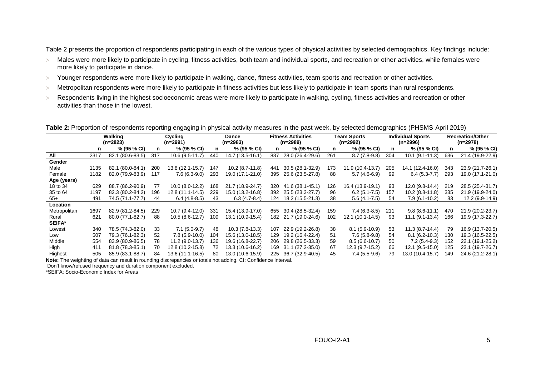[Table 2](#page-4-0) presents the proportion of respondents participating in each of the various types of physical activities by selected demographics. Key findings include:

- > Males were more likely to participate in cycling, fitness activities, both team and individual sports, and recreation or other activities, while females were more likely to participate in dance.
- Younger respondents were more likely to participate in walking, dance, fitness activities, team sports and recreation or other activities.
- > Metropolitan respondents were more likely to participate in fitness activities but less likely to participate in team sports than rural respondents.
- > Respondents living in the highest socioeconomic areas were more likely to participate in walking, cycling, fitness activities and recreation or other activities than those in the lowest.

<span id="page-4-0"></span>

|  | Table 2: Proportion of respondents reporting engaging in physical activity measures in the past week, by selected demographics (PHSMS April 2019) |  |
|--|---------------------------------------------------------------------------------------------------------------------------------------------------|--|
|  |                                                                                                                                                   |  |

|               |      | Walking<br>$(n=2823)$ |     | Cycling<br>(n=2991) |     | <b>Dance</b><br>(n=2983) |     | <b>Fitness Activities</b><br>$(n=2989)$ |     | Team Sports<br>(n=2992) |     | <b>Individual Sports</b><br>$(n=2996)$ |     | <b>Recreation/Other</b><br>(n=2978) |
|---------------|------|-----------------------|-----|---------------------|-----|--------------------------|-----|-----------------------------------------|-----|-------------------------|-----|----------------------------------------|-----|-------------------------------------|
|               | n    | % (95 % CI)           | n   | % (95 % CI)         | n   | % (95 % CI)              | n   | % (95 % CI)                             | n   | % (95 % CI)             | n   | % (95 % CI)                            | n   | % (95 % CI)                         |
| All           | 2317 | 82.1 (80.6-83.5)      | 317 | $10.6(9.5-11.7)$    | 440 | 14.7 (13.5-16.1)         | 837 | 28.0 (26.4-29.6)                        | 261 | $8.7(7.8-9.8)$          | 304 | $10.1 (9.1 - 11.3)$                    | 636 | 21.4 (19.9-22.9)                    |
| Gender        |      |                       |     |                     |     |                          |     |                                         |     |                         |     |                                        |     |                                     |
| Male          | 1135 | 82.1 (80.0-84.1)      | 200 | 13.8 (12.1-15.7)    | 147 | $10.2(8.7 - 11.8)$       | 441 | 30.5 (28.1-32.9)                        | 173 | 11.9 (10.4-13.7)        | 205 | 14.1 (12.4-16.0)                       | 343 | 23.9 (21.7-26.1)                    |
| Female        | 1182 | 82.0 (79.9-83.9)      | 117 | $7.6(6.3-9.0)$      | 293 | 19.0 (17.1-21.0)         | 395 | 25.6 (23.5-27.8)                        | 88  | $5.7(4.6-6.9)$          | 99  | $6.4(5.3-7.7)$                         | 293 | 19.0 (17.1-21.0)                    |
| Age (years)   |      |                       |     |                     |     |                          |     |                                         |     |                         |     |                                        |     |                                     |
| 18 to 34      | 629  | 88.7 (86.2-90.9)      | 77  | $10.0 (8.0 - 12.2)$ | 168 | 21.7 (18.9-24.7)         | 320 | 41.6 (38.1-45.1)                        | 126 | 16.4 (13.9-19.1)        | 93  | 12.0 (9.8-14.4)                        | 219 | 28.5 (25.4-31.7)                    |
| 35 to 64      | 1197 | 82.3 (80.2-84.2)      | 196 | 12.8 (11.1-14.5)    | 229 | 15.0 (13.2-16.8)         | 392 | 25.5 (23.3-27.7)                        | 96  | $6.2(5.1-7.5)$          | 157 | $10.2(8.8-11.8)$                       | 335 | 21.9 (19.9-24.0)                    |
| $65+$         | 491  | 74.5 (71.1-77.7)      | 44  | $6.4(4.8-8.5)$      | 43  | $6.3(4.7-8.4)$           | 124 | 18.2 (15.5-21.3)                        | 38  | $5.6(4.1-7.5)$          | 54  | $7.9(6.1-10.2)$                        | 83  | 12.2 (9.9-14.9)                     |
| Location      |      |                       |     |                     |     |                          |     |                                         |     |                         |     |                                        |     |                                     |
| Metropolitan  | 1697 | 82.9 (81.2-84.5)      | 229 | 10.7 (9.4-12.0)     | 331 | 15.4 (13.9-17.0)         | 655 | 30.4 (28.5-32.4)                        | 159 | $7.4(6.3-8.5)$          | 211 | $9.8(8.6-11.1)$                        | 470 | 21.9 (20.2-23.7)                    |
| Rural         | 621  | 80.0 (77.1-82.7)      | 88  | $10.5(8.6-12.7)$    | 109 | 13.1 (10.9-15.4)         |     | 182 21.7 (19.0-24.6)                    | 102 | 12.1 (10.1-14.5)        | 93  | $11.1 (9.1 - 13.4)$                    | 166 | 19.9 (17.3-22.7)                    |
| <b>SEIFA*</b> |      |                       |     |                     |     |                          |     |                                         |     |                         |     |                                        |     |                                     |
| Lowest        | 340  | 78.5 (74.3-82.0)      | 33  | $7.1(5.0-9.7)$      | 48  | $10.3(7.8-13.3)$         | 107 | 22.9 (19.2-26.8)                        | 38  | $8.1(5.9-10.9)$         | 53  | $11.3(8.7-14.4)$                       | 79  | 16.9 (13.7-20.5)                    |
| Low           | 507  | 79.3 (76.1-82.3)      | 52  | $7.8(5.9-10.0)$     | 104 | 15.6 (13.0-18.5)         | 129 | 19.2 (16.4-22.4)                        | 51  | $7.6(5.8-9.8)$          | 54  | $8.1(6.2-10.3)$                        | 130 | 19.3 (16.5-22.5)                    |
| Middle        | 554  | 83.9 (80.9-86.5)      | 78  | $11.2(9.0-13.7)$    | 136 | 19.6 (16.8-22.7)         | 206 | 29.8 (26.5-33.3)                        | 59  | $8.5(6.6-10.7)$         | 50  | $7.2(5.4-9.3)$                         | 152 | 22.1 (19.1-25.2)                    |
| High          | 411  | 81.8 (78.3-85.1)      | 70  | 12.8 (10.2-15.8)    | 72. | 13.3 (10.6-16.2)         | 169 | 31.1 (27.2-35.0)                        | 67  | $12.3(9.7-15.2)$        | 66  | 12.1 (9.5-15.0)                        | 125 | 23.1 (19.7-26.7)                    |
| Highest       | 505  | 85.9 (83.1-88.7)      | 84  | 13.6 (11.1-16.5)    | 80  | 13.0 (10.6-15.9)         | 225 | 36.7 (32.9-40.5)                        | 45  | $7.4(5.5-9.6)$          | 79  | 13.0 (10.4-15.7)                       | 149 | 24.6 (21.2-28.1)                    |

**Note:** The weighting of data can result in rounding discrepancies or totals not adding. CI: Confidence Interval.

Don't know/refused frequency and duration component excluded.

\*SEIFA: Socio-Economic Index for Areas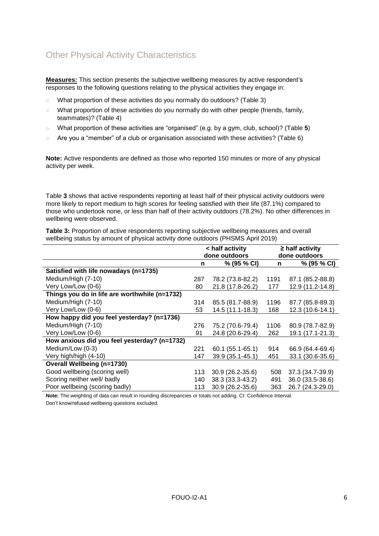# Other Physical Activity Characteristics

**Measures:** This section presents the subjective wellbeing measures by active respondent's responses to the following questions relating to the physical activities they engage in:

- What proportion of these activities do you normally do outdoors? [\(Table 3\)](#page-5-0)
- $>$  What proportion of these activities do you normally do with other people (friends, family, teammates)? [\(Table 4\)](#page-6-0)
- What proportion of these activities are "organised" (e.g. by a gym, club, school)? [\(Table](#page-6-1) **5**)
- $>$  Are you a "member" of a club or organisation associated with these activities? [\(Table 6\)](#page-7-0)

**Note:** Active respondents are defined as those who reported 150 minutes or more of any physical activity per week.

[Table](#page-5-0) **3** shows that active respondents reporting at least half of their physical activity outdoors were more likely to report medium to high scores for feeling satisfied with their life (87.1%) compared to those who undertook none, or less than half of their activity outdoors (78.2%). No other differences in wellbeing were observed.

<span id="page-5-0"></span>**Table 3:** Proportion of active respondents reporting subjective wellbeing measures and overall wellbeing status by amount of physical activity done outdoors (PHSMS April 2019)

|                                               | < half activity |                  |      | $\geq$ half activity |
|-----------------------------------------------|-----------------|------------------|------|----------------------|
|                                               |                 | done outdoors    |      | done outdoors        |
|                                               | n               | % (95 % CI)      | n    | % (95 % CI)          |
| Satisfied with life nowadays (n=1735)         |                 |                  |      |                      |
| Medium/High (7-10)                            | 287             | 78.2 (73.8-82.2) | 1191 | 87.1 (85.2-88.8)     |
| Very Low/Low (0-6)                            | 80              | 21.8 (17.8-26.2) | 177  | 12.9 (11.2-14.8)     |
| Things you do in life are worthwhile (n=1732) |                 |                  |      |                      |
| Medium/High (7-10)                            | 314             | 85.5 (81.7-88.9) | 1196 | 87.7 (85.8-89.3)     |
| Very Low/Low (0-6)                            | 53              | 14.5 (11.1-18.3) | 168  | 12.3 (10.6-14.1)     |
| How happy did you feel yesterday? (n=1736)    |                 |                  |      |                      |
| Medium/High (7-10)                            | 276             | 75.2 (70.6-79.4) | 1106 | 80.9 (78.7-82.9)     |
| Very Low/Low (0-6)                            | 91              | 24.8 (20.6-29.4) | 262  | 19.1 (17.1-21.3)     |
| How anxious did you feel yesterday? (n=1732)  |                 |                  |      |                      |
| Medium/Low (0-3)                              | 221             | 60.1 (55.1-65.1) | 914  | 66.9 (64.4-69.4)     |
| Very high/high (4-10)                         | 147             | 39.9 (35.1-45.1) | 451  | 33.1 (30.6-35.6)     |
| <b>Overall Wellbeing (n=1730)</b>             |                 |                  |      |                      |
| Good wellbeing (scoring well)                 | 113             | 30.9 (26.2-35.6) | 508  | 37.3 (34.7-39.9)     |
| Scoring neither well/ badly                   | 140             | 38.3 (33.3-43.2) | 491  | 36.0 (33.5-38.6)     |
| Poor wellbeing (scoring badly)                | 113             | 30.9 (26.2-35.6) | 363  | 26.7 (24.3-29.0)     |

**Note:** The weighting of data can result in rounding discrepancies or totals not adding. CI: Confidence Interval. Don't know/refused wellbeing questions excluded.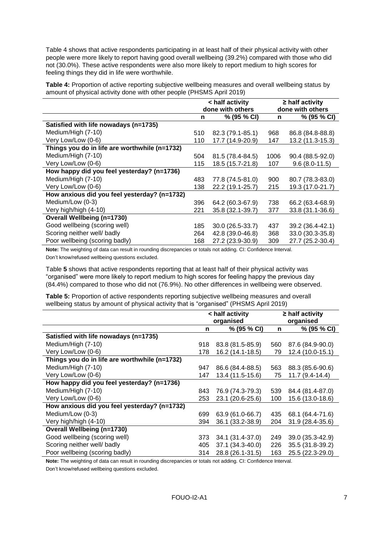[Table 4](#page-6-0) shows that active respondents participating in at least half of their physical activity with other people were more likely to report having good overall wellbeing (39.2%) compared with those who did not (30.0%). These active respondents were also more likely to report medium to high scores for feeling things they did in life were worthwhile.

<span id="page-6-0"></span>**Table 4:** Proportion of active reporting subjective wellbeing measures and overall wellbeing status by amount of physical activity done with other people (PHSMS April 2019)

|                                               |     | < half activity  |      | $\geq$ half activity |
|-----------------------------------------------|-----|------------------|------|----------------------|
|                                               |     | done with others |      | done with others     |
|                                               | n   | % (95 % CI)      | n    | % (95 % CI)          |
| Satisfied with life nowadays (n=1735)         |     |                  |      |                      |
| Medium/High (7-10)                            | 510 | 82.3 (79.1-85.1) | 968  | 86.8 (84.8-88.8)     |
| Very Low/Low (0-6)                            | 110 | 17.7 (14.9-20.9) | 147  | 13.2 (11.3-15.3)     |
| Things you do in life are worthwhile (n=1732) |     |                  |      |                      |
| Medium/High (7-10)                            | 504 | 81.5 (78.4-84.5) | 1006 | 90.4 (88.5-92.0)     |
| Very Low/Low (0-6)                            | 115 | 18.5 (15.7-21.8) | 107  | $9.6(8.0-11.5)$      |
| How happy did you feel yesterday? (n=1736)    |     |                  |      |                      |
| Medium/High (7-10)                            | 483 | 77.8 (74.5-81.0) | 900  | 80.7 (78.3-83.0)     |
| Very Low/Low (0-6)                            | 138 | 22.2 (19.1-25.7) | 215  | 19.3 (17.0-21.7)     |
| How anxious did you feel yesterday? (n=1732)  |     |                  |      |                      |
| Medium/Low (0-3)                              | 396 | 64.2 (60.3-67.9) | 738  | 66.2 (63.4-68.9)     |
| Very high/high (4-10)                         | 221 | 35.8 (32.1-39.7) | 377  | 33.8 (31.1-36.6)     |
| <b>Overall Wellbeing (n=1730)</b>             |     |                  |      |                      |
| Good wellbeing (scoring well)                 | 185 | 30.0 (26.5-33.7) | 437  | 39.2 (36.4-42.1)     |
| Scoring neither well/ badly                   | 264 | 42.8 (39.0-46.8) | 368  | 33.0 (30.3-35.8)     |
| Poor wellbeing (scoring badly)                | 168 | 27.2 (23.9-30.9) | 309  | 27.7 (25.2-30.4)     |

**Note:** The weighting of data can result in rounding discrepancies or totals not adding. CI: Confidence Interval. Don't know/refused wellbeing questions excluded.

[Table](#page-6-1) **5** shows that active respondents reporting that at least half of their physical activity was "organised" were more likely to report medium to high scores for feeling happy the previous day (84.4%) compared to those who did not (76.9%). No other differences in wellbeing were observed.

<span id="page-6-1"></span>**Table 5:** Proportion of active respondents reporting subjective wellbeing measures and overall wellbeing status by amount of physical activity that is "organised" (PHSMS April 2019)

|                                               |     | < half activity<br>organised |     | $\geq$ half activity<br>organised |
|-----------------------------------------------|-----|------------------------------|-----|-----------------------------------|
|                                               | n   | % (95 % CI)                  | n   | % (95 % CI)                       |
| Satisfied with life nowadays (n=1735)         |     |                              |     |                                   |
| Medium/High (7-10)                            | 918 | 83.8 (81.5-85.9)             | 560 | 87.6 (84.9-90.0)                  |
| Very Low/Low (0-6)                            | 178 | 16.2 (14.1-18.5)             | 79  | 12.4 (10.0-15.1)                  |
| Things you do in life are worthwhile (n=1732) |     |                              |     |                                   |
| Medium/High (7-10)                            | 947 | 86.6 (84.4-88.5)             | 563 | 88.3 (85.6-90.6)                  |
| Very Low/Low (0-6)                            | 147 | 13.4 (11.5-15.6)             | 75  | 11.7 (9.4-14.4)                   |
| How happy did you feel yesterday? (n=1736)    |     |                              |     |                                   |
| Medium/High (7-10)                            | 843 | 76.9 (74.3-79.3)             | 539 | 84.4 (81.4-87.0)                  |
| Very Low/Low (0-6)                            | 253 | 23.1 (20.6-25.6)             | 100 | 15.6 (13.0-18.6)                  |
| How anxious did you feel yesterday? (n=1732)  |     |                              |     |                                   |
| Medium/Low (0-3)                              | 699 | 63.9 (61.0-66.7)             | 435 | 68.1 (64.4-71.6)                  |
| Very high/high (4-10)                         | 394 | 36.1 (33.2-38.9)             | 204 | 31.9 (28.4-35.6)                  |
| <b>Overall Wellbeing (n=1730)</b>             |     |                              |     |                                   |
| Good wellbeing (scoring well)                 | 373 | 34.1 (31.4-37.0)             | 249 | 39.0 (35.3-42.9)                  |
| Scoring neither well/ badly                   | 405 | 37.1 (34.3-40.0)             | 226 | 35.5 (31.8-39.2)                  |
| Poor wellbeing (scoring badly)                | 314 | 28.8 (26.1-31.5)             | 163 | 25.5 (22.3-29.0)                  |

**Note:** The weighting of data can result in rounding discrepancies or totals not adding. CI: Confidence Interval.

Don't know/refused wellbeing questions excluded.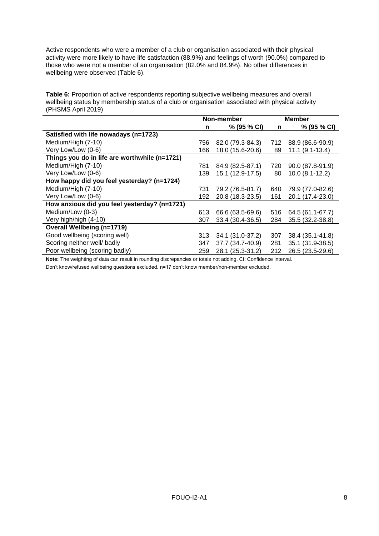Active respondents who were a member of a club or organisation associated with their physical activity were more likely to have life satisfaction (88.9%) and feelings of worth (90.0%) compared to those who were not a member of an organisation (82.0% and 84.9%). No other differences in wellbeing were observed [\(Table 6\)](#page-7-0).

<span id="page-7-0"></span>**Table 6:** Proportion of active respondents reporting subjective wellbeing measures and overall wellbeing status by membership status of a club or organisation associated with physical activity (PHSMS April 2019)

|                                               |     | Non-member       |     | <b>Member</b>       |
|-----------------------------------------------|-----|------------------|-----|---------------------|
|                                               | n   | % (95 % CI)      | n   | % (95 % CI)         |
| Satisfied with life nowadays (n=1723)         |     |                  |     |                     |
| Medium/High (7-10)                            | 756 | 82.0 (79.3-84.3) | 712 | 88.9 (86.6-90.9)    |
| Very Low/Low (0-6)                            | 166 | 18.0 (15.6-20.6) | 89  | $11.1 (9.1 - 13.4)$ |
| Things you do in life are worthwhile (n=1721) |     |                  |     |                     |
| Medium/High (7-10)                            | 781 | 84.9 (82.5-87.1) | 720 | 90.0 (87.8-91.9)    |
| Very Low/Low (0-6)                            | 139 | 15.1 (12.9-17.5) | 80  | $10.0 (8.1 - 12.2)$ |
| How happy did you feel yesterday? (n=1724)    |     |                  |     |                     |
| Medium/High (7-10)                            | 731 | 79.2 (76.5-81.7) | 640 | 79.9 (77.0-82.6)    |
| Very Low/Low (0-6)                            | 192 | 20.8 (18.3-23.5) | 161 | 20.1 (17.4-23.0)    |
| How anxious did you feel yesterday? (n=1721)  |     |                  |     |                     |
| Medium/Low (0-3)                              | 613 | 66.6 (63.5-69.6) | 516 | 64.5 (61.1-67.7)    |
| Very high/high (4-10)                         | 307 | 33.4 (30.4-36.5) | 284 | 35.5 (32.2-38.8)    |
| <b>Overall Wellbeing (n=1719)</b>             |     |                  |     |                     |
| Good wellbeing (scoring well)                 | 313 | 34.1 (31.0-37.2) | 307 | 38.4 (35.1-41.8)    |
| Scoring neither well/ badly                   | 347 | 37.7 (34.7-40.9) | 281 | 35.1 (31.9-38.5)    |
| Poor wellbeing (scoring badly)                | 259 | 28.1 (25.3-31.2) | 212 | 26.5 (23.5-29.6)    |

**Note:** The weighting of data can result in rounding discrepancies or totals not adding. CI: Confidence Interval.

Don't know/refused wellbeing questions excluded. n=17 don't know member/non-member excluded.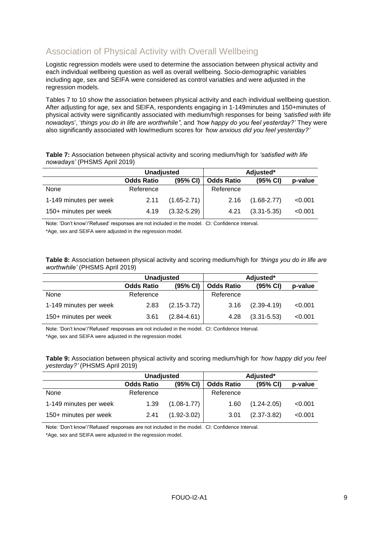# Association of Physical Activity with Overall Wellbeing

Logistic regression models were used to determine the association between physical activity and each individual wellbeing question as well as overall wellbeing. Socio-demographic variables including age, sex and SEIFA were considered as control variables and were adjusted in the regression models.

Tables 7 to 10 show the association between physical activity and each individual wellbeing question. After adjusting for age, sex and SEIFA, respondents engaging in 1-149minutes and 150+minutes of physical activity were significantly associated with medium/high responses for being *'satisfied with life nowadays*', '*things you do in life are worthwhile"*, and *'how happy do you feel yesterday?'* They were also significantly associated with low/medium scores for *'how anxious did you feel yesterday?'*

**Table 7:** Association between physical activity and scoring medium/high for *'satisfied with life nowadays'* (PHSMS April 2019)

|                        | <b>Unadjusted</b> |                 | Adjusted*         |                 |         |  |
|------------------------|-------------------|-----------------|-------------------|-----------------|---------|--|
|                        | <b>Odds Ratio</b> | (95% CI)        | <b>Odds Ratio</b> | (95% CI)        | p-value |  |
| None                   | Reference         |                 | Reference         |                 |         |  |
| 1-149 minutes per week | 2.11              | $(1.65 - 2.71)$ | 2.16              | $(1.68 - 2.77)$ | < 0.001 |  |
| 150+ minutes per week  | 4.19              | $(3.32 - 5.29)$ | 4.21              | $(3.31 - 5.35)$ | < 0.001 |  |

Note: 'Don't know'/'Refused' responses are not included in the model. CI: Confidence Interval.

\*Age, sex and SEIFA were adjusted in the regression model.

**Table 8:** Association between physical activity and scoring medium/high for *'things you do in life are worthwhile'* (PHSMS April 2019)

|                        | <b>Unadjusted</b> |                 | Adjusted*         |                 |         |  |
|------------------------|-------------------|-----------------|-------------------|-----------------|---------|--|
|                        | <b>Odds Ratio</b> | (95% CI)        | <b>Odds Ratio</b> | (95% CI)        | p-value |  |
| None                   | Reference         |                 | Reference         |                 |         |  |
| 1-149 minutes per week | 2.83              | $(2.15 - 3.72)$ | 3.16              | $(2.39 - 4.19)$ | < 0.001 |  |
| 150+ minutes per week  | 3.61              | $(2.84 - 4.61)$ | 4.28              | $(3.31 - 5.53)$ | < 0.001 |  |

Note: 'Don't know'/'Refused' responses are not included in the model. CI: Confidence Interval. \*Age, sex and SEIFA were adjusted in the regression model.

**Table 9:** Association between physical activity and scoring medium/high for *'how happy did you feel yesterday?'* (PHSMS April 2019)

|                        | <b>Unadjusted</b> |                 | Adjusted*         |                      |         |  |
|------------------------|-------------------|-----------------|-------------------|----------------------|---------|--|
|                        | <b>Odds Ratio</b> | (95% CI)        | <b>Odds Ratio</b> | $(95% \, \text{Cl})$ | p-value |  |
| None                   | Reference         |                 | Reference         |                      |         |  |
| 1-149 minutes per week | 1.39              | $(1.08 - 1.77)$ | 1.60              | $(1.24 - 2.05)$      | < 0.001 |  |
| 150+ minutes per week  | 2.41              | $(1.92 - 3.02)$ | 3.01              | $(2.37 - 3.82)$      | < 0.001 |  |

Note: 'Don't know'/'Refused' responses are not included in the model. CI: Confidence Interval.

\*Age, sex and SEIFA were adjusted in the regression model.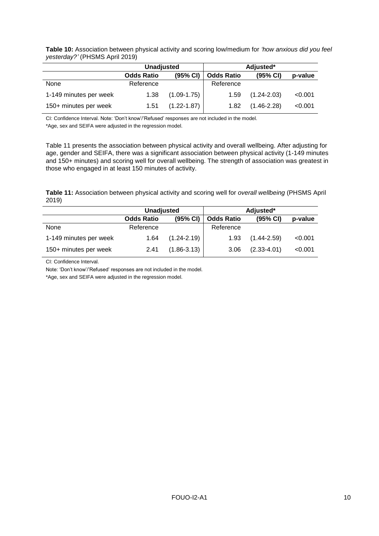#### **Table 10:** Association between physical activity and scoring low/medium for *'how anxious did you feel yesterday?'* (PHSMS April 2019)

|                        | <b>Unadjusted</b> |                 | Adjusted*         |                 |         |  |
|------------------------|-------------------|-----------------|-------------------|-----------------|---------|--|
|                        | <b>Odds Ratio</b> | (95% CI)        | <b>Odds Ratio</b> | (95% CI)        | p-value |  |
| None                   | Reference         |                 | Reference         |                 |         |  |
| 1-149 minutes per week | 1.38              | $(1.09 - 1.75)$ | 1.59              | $(1.24 - 2.03)$ | < 0.001 |  |
| 150+ minutes per week  | 1.51              | $(1.22 - 1.87)$ | 1.82              | $(1.46 - 2.28)$ | < 0.001 |  |

CI: Confidence Interval. Note: 'Don't know'/'Refused' responses are not included in the model.

\*Age, sex and SEIFA were adjusted in the regression model.

[Table 11](#page-9-0) presents the association between physical activity and overall wellbeing. After adjusting for age, gender and SEIFA, there was a significant association between physical activity (1-149 minutes and 150+ minutes) and scoring well for overall wellbeing. The strength of association was greatest in those who engaged in at least 150 minutes of activity.

<span id="page-9-0"></span>**Table 11:** Association between physical activity and scoring well for *overall wellbeing* (PHSMS April 2019)

|                        | <b>Unadjusted</b> |                 | Adjusted*         |                 |         |
|------------------------|-------------------|-----------------|-------------------|-----------------|---------|
|                        | <b>Odds Ratio</b> | (95% CI)        | <b>Odds Ratio</b> | (95% CI)        | p-value |
| None                   | Reference         |                 | Reference         |                 |         |
| 1-149 minutes per week | 1.64              | $(1.24 - 2.19)$ | 1.93              | $(1.44 - 2.59)$ | < 0.001 |
| 150+ minutes per week  | 2.41              | $(1.86 - 3.13)$ | 3.06              | $(2.33 - 4.01)$ | < 0.001 |

CI: Confidence Interval.

Note: 'Don't know'/'Refused' responses are not included in the model.

\*Age, sex and SEIFA were adjusted in the regression model.